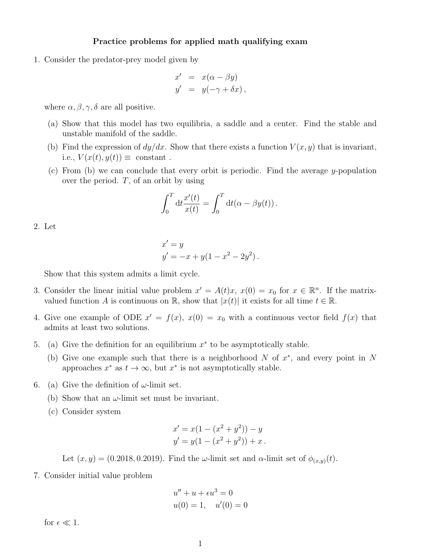## Practice problems for applied math qualifying exam

1. Consider the predator-prey model given by

$$
x' = x(\alpha - \beta y)
$$
  

$$
y' = y(-\gamma + \delta x),
$$

where  $\alpha, \beta, \gamma, \delta$  are all positive.

- (a) Show that this model has two equilibria, a saddle and a center. Find the stable and unstable manifold of the saddle.
- (b) Find the expression of  $dy/dx$ . Show that there exists a function  $V(x, y)$  that is invariant, i.e.,  $V(x(t), y(t)) \equiv constant$ .
- (c) From (b) we can conclude that every orbit is periodic. Find the average y-population over the period.  $T$ , of an orbit by using

$$
\int_0^T dt \frac{x'(t)}{x(t)} = \int_0^T dt (\alpha - \beta y(t)).
$$

2. Let

$$
x' = y
$$
  
y' = -x + y(1 - x<sup>2</sup> - 2y<sup>2</sup>).

Show that this system admits a limit cycle.

- 3. Consider the linear initial value problem  $x' = A(t)x$ ,  $x(0) = x_0$  for  $x \in \mathbb{R}^n$ . If the matrixvalued function A is continuous on R, show that  $|x(t)|$  it exists for all time  $t \in \mathbb{R}$ .
- 4. Give one example of ODE  $x' = f(x)$ ,  $x(0) = x_0$  with a continuous vector field  $f(x)$  that admits at least two solutions.
- 5. (a) Give the definition for an equilibrium  $x^*$  to be asymptotically stable.
	- (b) Give one example such that there is a neighborhood N of  $x^*$ , and every point in N approaches  $x^*$  as  $t \to \infty$ , but  $x^*$  is not asymptotically stable.
- 6. (a) Give the definition of  $\omega$ -limit set.
	- (b) Show that an  $\omega$ -limit set must be invariant.
	- (c) Consider system

$$
x' = x(1 - (x2 + y2)) - y
$$
  

$$
y' = y(1 - (x2 + y2)) + x.
$$

Let  $(x, y) = (0.2018, 0.2019)$ . Find the  $\omega$ -limit set and  $\alpha$ -limit set of  $\phi_{(x,y)}(t)$ .

7. Consider initial value problem

$$
u'' + u + \epsilon u^3 = 0
$$
  

$$
u(0) = 1, \quad u'(0) = 0
$$

for  $\epsilon \ll 1$ .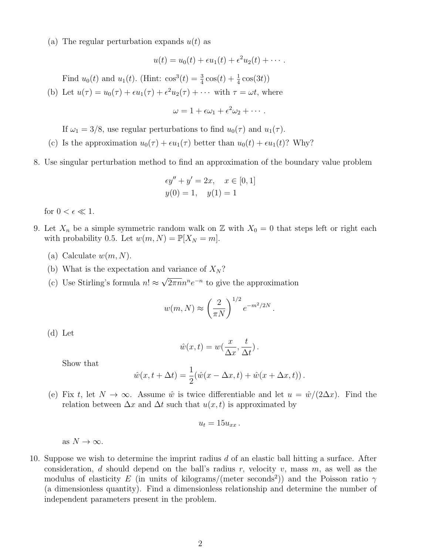(a) The regular perturbation expands  $u(t)$  as

$$
u(t) = u_0(t) + \epsilon u_1(t) + \epsilon^2 u_2(t) + \cdots
$$

Find  $u_0(t)$  and  $u_1(t)$ . (Hint:  $\cos^3(t) = \frac{3}{4}\cos(t) + \frac{1}{4}\cos(3t)$ )

(b) Let  $u(\tau) = u_0(\tau) + \epsilon u_1(\tau) + \epsilon^2 u_2(\tau) + \cdots$  with  $\tau = \omega t$ , where

 $\omega = 1 + \epsilon \omega_1 + \epsilon^2 \omega_2 + \cdots$ 

- If  $\omega_1 = 3/8$ , use regular perturbations to find  $u_0(\tau)$  and  $u_1(\tau)$ .
- (c) Is the approximation  $u_0(\tau) + \epsilon u_1(\tau)$  better than  $u_0(t) + \epsilon u_1(t)$ ? Why?
- 8. Use singular perturbation method to find an approximation of the boundary value problem

$$
\epsilon y'' + y' = 2x, \quad x \in [0, 1]
$$
  
 $y(0) = 1, \quad y(1) = 1$ 

for  $0 < \epsilon \ll 1$ .

- 9. Let  $X_n$  be a simple symmetric random walk on  $\mathbb Z$  with  $X_0 = 0$  that steps left or right each with probability 0.5. Let  $w(m, N) = \mathbb{P}[X_N = m]$ .
	- (a) Calculate  $w(m, N)$ .
	- (b) What is the expectation and variance of  $X_N$ ?
	- (c) Use Stirling's formula  $n! \approx$ √  $\sqrt{2\pi n}n^n e^{-n}$  to give the approximation

$$
w(m, N) \approx \left(\frac{2}{\pi N}\right)^{1/2} e^{-m^2/2N}.
$$

(d) Let

$$
\hat{w}(x,t) = w(\frac{x}{\Delta x}, \frac{t}{\Delta t}).
$$

Show that

$$
\hat{w}(x, t + \Delta t) = \frac{1}{2} (\hat{w}(x - \Delta x, t) + \hat{w}(x + \Delta x, t)).
$$

(e) Fix t, let  $N \to \infty$ . Assume  $\hat{w}$  is twice differentiable and let  $u = \hat{w}/(2\Delta x)$ . Find the relation between  $\Delta x$  and  $\Delta t$  such that  $u(x, t)$  is approximated by

$$
u_t=15u_{xx}.
$$

as  $N \to \infty$ .

10. Suppose we wish to determine the imprint radius  $d$  of an elastic ball hitting a surface. After consideration, d should depend on the ball's radius r, velocity v, mass  $m$ , as well as the modulus of elasticity E (in units of kilograms/(meter seconds<sup>2</sup>)) and the Poisson ratio  $\gamma$ (a dimensionless quantity). Find a dimensionless relationship and determine the number of independent parameters present in the problem.